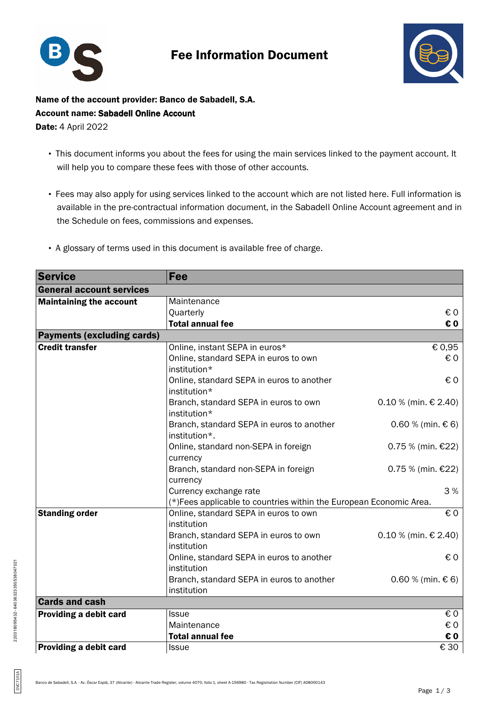

## Fee Information Document



Name of the account provider: Banco de Sabadell, S.A. Account name: Sabadell Online Account **Date: 4 April 2022** 

- This document informs you about the fees for using the main services linked to the payment account. It will help you to compare these fees with those of other accounts.
- Fees may also apply for using services linked to the account which are not listed here. Full information is available in the pre-contractual information document, in the Sabadell Online Account agreement and in the Schedule on fees, commissions and expenses.
- A glossary of terms used in this document is available free of charge.

| <b>Service</b>                    | Fee                                                                |                          |  |
|-----------------------------------|--------------------------------------------------------------------|--------------------------|--|
| <b>General account services</b>   |                                                                    |                          |  |
| <b>Maintaining the account</b>    | Maintenance                                                        |                          |  |
|                                   | Quarterly                                                          | € 0                      |  |
|                                   | <b>Total annual fee</b>                                            | € 0                      |  |
| <b>Payments (excluding cards)</b> |                                                                    |                          |  |
| <b>Credit transfer</b>            | Online, instant SEPA in euros*                                     | € 0,95                   |  |
|                                   | Online, standard SEPA in euros to own                              | € 0                      |  |
|                                   | institution*                                                       |                          |  |
|                                   | Online, standard SEPA in euros to another                          | € 0                      |  |
|                                   | institution*                                                       |                          |  |
|                                   | Branch, standard SEPA in euros to own                              | $0.10 %$ (min. € 2.40)   |  |
|                                   | institution*                                                       |                          |  |
|                                   | Branch, standard SEPA in euros to another                          | $0.60 %$ (min. € 6)      |  |
|                                   | institution*.                                                      |                          |  |
|                                   | Online, standard non-SEPA in foreign                               | 0.75 % (min. €22)        |  |
|                                   | currency                                                           |                          |  |
|                                   | Branch, standard non-SEPA in foreign                               | $0.75%$ (min. €22)       |  |
|                                   | currency                                                           |                          |  |
|                                   | Currency exchange rate                                             | 3%                       |  |
|                                   | (*)Fees applicable to countries within the European Economic Area. |                          |  |
| <b>Standing order</b>             | Online, standard SEPA in euros to own                              | € 0                      |  |
|                                   | institution                                                        |                          |  |
|                                   | Branch, standard SEPA in euros to own                              | $0.10 %$ (min. € 2.40)   |  |
|                                   | institution                                                        |                          |  |
|                                   | Online, standard SEPA in euros to another                          | € 0                      |  |
|                                   | institution                                                        |                          |  |
|                                   | Branch, standard SEPA in euros to another                          | $0.60 %$ (min. € 6)      |  |
|                                   | institution                                                        |                          |  |
| <b>Cards and cash</b>             |                                                                    |                          |  |
| Providing a debit card            | <b>Issue</b>                                                       | $\epsilon$ 0             |  |
|                                   | Maintenance                                                        | € 0                      |  |
|                                   | <b>Total annual fee</b>                                            | € 0                      |  |
| Providing a debit card            | <b>Issue</b>                                                       | $\overline{\epsilon}$ 30 |  |

DVC7101A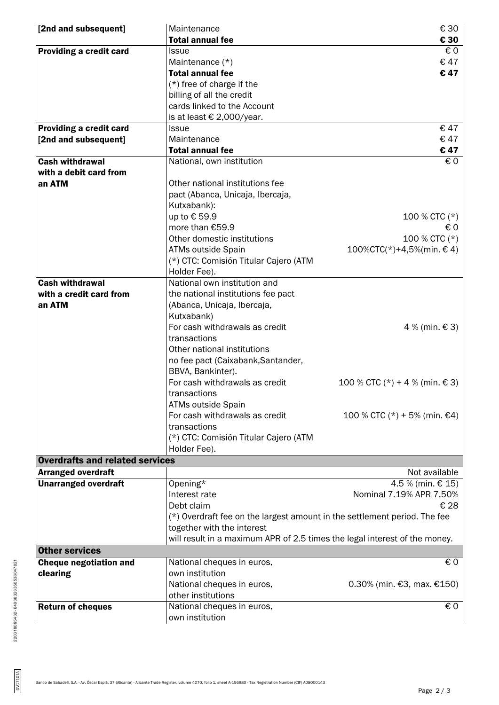| [2nd and subsequent]                   | Maintenance<br><b>Total annual fee</b>                                     | € 30<br>€ 30                   |
|----------------------------------------|----------------------------------------------------------------------------|--------------------------------|
| <b>Providing a credit card</b>         | <b>Issue</b>                                                               | € 0                            |
|                                        | Maintenance (*)                                                            | €47                            |
|                                        | <b>Total annual fee</b>                                                    | €47                            |
|                                        | $(*)$ free of charge if the                                                |                                |
|                                        | billing of all the credit                                                  |                                |
|                                        | cards linked to the Account                                                |                                |
|                                        | is at least € 2,000/year.                                                  |                                |
|                                        | <b>Issue</b>                                                               | €47                            |
| Providing a credit card                | Maintenance                                                                | €47                            |
| [2nd and subsequent]                   | <b>Total annual fee</b>                                                    | €47                            |
| <b>Cash withdrawal</b>                 |                                                                            | € 0                            |
|                                        | National, own institution                                                  |                                |
| with a debit card from                 |                                                                            |                                |
| an ATM                                 | Other national institutions fee                                            |                                |
|                                        | pact (Abanca, Unicaja, Ibercaja,                                           |                                |
|                                        | Kutxabank):                                                                |                                |
|                                        | up to € 59.9                                                               | 100 % CTC $(*)$                |
|                                        | more than €59.9                                                            | €0                             |
|                                        | Other domestic institutions                                                | 100 % CTC (*)                  |
|                                        | ATMs outside Spain                                                         | $100\%$ CTC(*)+4,5%(min. €4)   |
|                                        | (*) CTC: Comisión Titular Cajero (ATM                                      |                                |
|                                        | Holder Fee).                                                               |                                |
| <b>Cash withdrawal</b>                 | National own institution and                                               |                                |
| with a credit card from                | the national institutions fee pact                                         |                                |
| an ATM                                 | (Abanca, Unicaja, Ibercaja,                                                |                                |
|                                        | Kutxabank)                                                                 |                                |
|                                        | For cash withdrawals as credit                                             | 4 % (min. € 3)                 |
|                                        | transactions                                                               |                                |
|                                        | Other national institutions                                                |                                |
|                                        | no fee pact (Caixabank, Santander,                                         |                                |
|                                        | BBVA, Bankinter).                                                          |                                |
|                                        | For cash withdrawals as credit                                             | 100 % CTC (*) + 4 % (min. € 3) |
|                                        | transactions                                                               |                                |
|                                        | ATMs outside Spain                                                         |                                |
|                                        | For cash withdrawals as credit                                             | 100 % CTC (*) + 5% (min. €4)   |
|                                        | transactions                                                               |                                |
|                                        | (*) CTC: Comisión Titular Cajero (ATM                                      |                                |
|                                        | Holder Fee).                                                               |                                |
| <b>Overdrafts and related services</b> |                                                                            |                                |
| <b>Arranged overdraft</b>              |                                                                            | Not available                  |
| <b>Unarranged overdraft</b>            | Opening*                                                                   | 4.5 % (min. € 15)              |
|                                        | Interest rate                                                              | Nominal 7.19% APR 7.50%        |
|                                        | Debt claim                                                                 | € 28                           |
|                                        |                                                                            |                                |
|                                        | (*) Overdraft fee on the largest amount in the settlement period. The fee  |                                |
|                                        | together with the interest                                                 |                                |
|                                        | will result in a maximum APR of 2.5 times the legal interest of the money. |                                |
| <b>Other services</b>                  |                                                                            |                                |
| <b>Cheque negotiation and</b>          | National cheques in euros,                                                 | € 0                            |
| clearing                               | own institution                                                            |                                |
|                                        | National cheques in euros,                                                 | 0.30% (min. €3, max. $€150$ )  |
|                                        | other institutions                                                         |                                |
| <b>Return of cheques</b>               | National cheques in euros,                                                 | € 0                            |
|                                        | own institution                                                            |                                |

DVC7101A